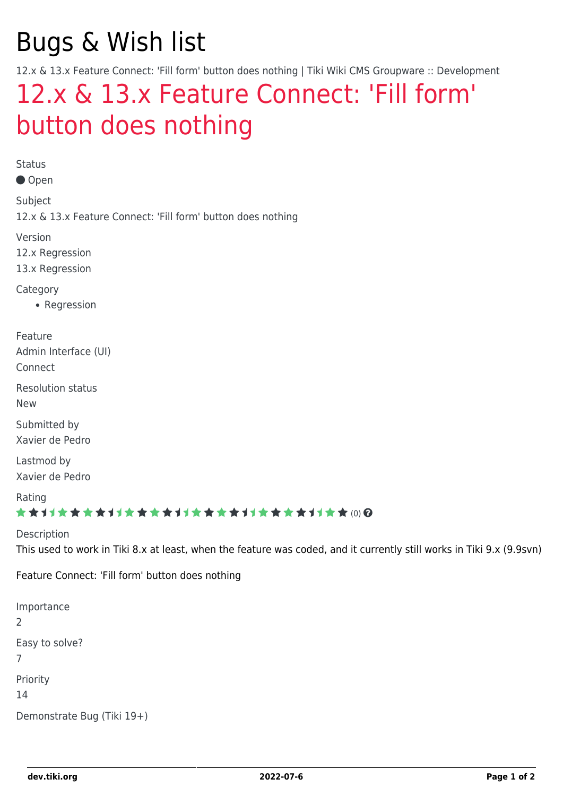# Bugs & Wish list

12.x & 13.x Feature Connect: 'Fill form' button does nothing | Tiki Wiki CMS Groupware :: Development

## [12.x & 13.x Feature Connect: 'Fill form'](https://dev.tiki.org/item5395-12-x-13-x-Feature-Connect-Fill-form-button-does-nothing) [button does nothing](https://dev.tiki.org/item5395-12-x-13-x-Feature-Connect-Fill-form-button-does-nothing)

Status

● Open

Subject 12.x & 13.x Feature Connect: 'Fill form' button does nothing

Version

12.x Regression

13.x Regression

**Category** 

• Regression

Feature Admin Interface (UI)

Connect

Resolution status New

Submitted by Xavier de Pedro

Lastmod by Xavier de Pedro

Rating

#### \*\*\*\*\*\*\*\*\*\*\*\*\*\*\*\*\*\*\*\*\*\*\*\*\*\*\*\*\*\*

Description This used to work in Tiki 8.x at least, when the feature was coded, and it currently still works in Tiki 9.x (9.9svn)

Feature Connect: 'Fill form' button does nothing

Importance 2 Easy to solve? 7 Priority 14 Demonstrate Bug (Tiki 19+)